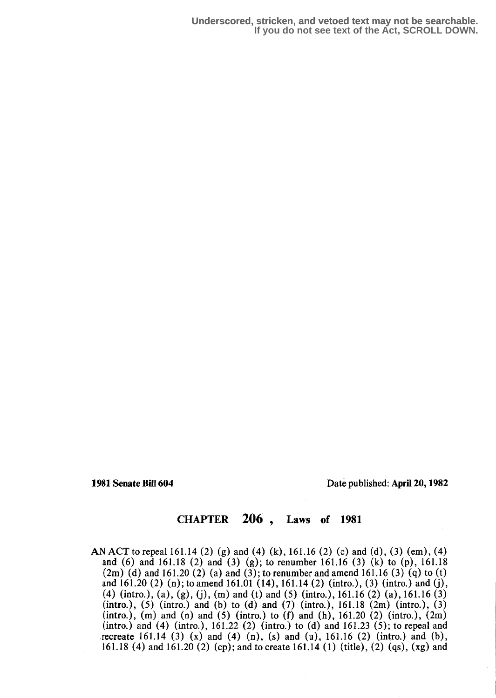1981 Senate Bill 604 Date published: April 20, 1982

# CHAPTER 206 , Laws of 1981

AN ACT to repeal 161.14 (2) (g) and (4) (k), 161.16 (2) (c) and (d), (3) (em), (4) and (6) and 161.18 (2) and (3) (g); to renumber 161.16 (3) (k) to (p), 161.18  $(2m)$  (d) and 161.20 (2) (a) and (3); to renumber and amend 161.16 (3) (q) to (t) and  $161.20$  (2) (n); to amend  $161.01$  (14),  $161.14$  (2) (intro.), (3) (intro.) and (j), (4) (intro.), (a), (g), (j), (m) and (t) and (5) (intro.), 161.16 (2) (a), 161.16 (3) (intro.), (5) (intro.) and (b) to (d) and (7) (intro.), 161.18  $(2m)$  (intro.), (3)  $(intro.)$ ,  $(m)$  and  $(n)$  and  $(5)$   $(intro.)$  to  $(f)$  and  $(h)$ ,  $161.20$   $(2)$   $(intro.)$ ,  $(2m)$ (intro.) and (4) (intro.), 161.22 (2) (intro.) to (d) and 161.23 (5); to repeal and recreate 161.14  $(3)$   $(x)$  and  $(4)$   $(n)$ ,  $(s)$  and  $(u)$ , 161.16  $(2)$   $(intro.)$  and  $(b)$ , 161.18 (4) and 161.20 (2) (cp); and to create 161.14 (1) (title), (2) (qs), (xg) and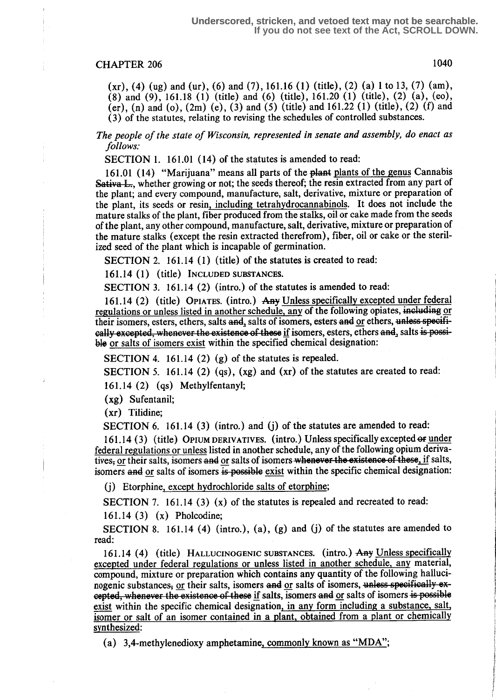$(xr)$ , (4) (ug) and (ur), (6) and (7), 161.16 (1) (title), (2) (a) 1 to 13, (7) (am),  $(8)$  and  $(9)$ , 161.18 (1) (title) and  $(6)$  (title), 161.20 (1) (title), (2) (a), (eo), (er), (n) and (o), (2m) (e), (3) and (5) (title) and 161.22 (1) (title), (2) (f) and (3) of the statutes, relating to revising the schedules of controlled substances.

The people of the state of Wisconsin, represented in senate and assembly, do enact as follows:

SECTION 1. 161.01 (14) of the statutes is amended to read:

161.01 (14) "Marijuana" means all parts of the plant plants of the genus Cannabis Sativa L<sub>rs</sub>, whether growing or not; the seeds thereof; the resin extracted from any part of the plant; and every compound, manufacture, salt, derivative, mixture or preparation of the plant, its seeds or resin, including tetrahydrocannabinols. It does not include the mature stalks of the plant, fiber produced from the stalks, oil or cake made from the seeds of the plant, any other compound, manufacture, salt, derivative, mixture or preparation of the mature stalks (except the resin extracted therefrom), fiber, oil or cake or the sterilized seed of the plant which is incapable of germination.

SECTION 2. 161.14 (1) (title) of the statutes is created to read:

161.14 (1) (title) INCLUDED SUBSTANCES.

SECTION 3. 161.14 (2) (intro.) of the statutes is amended to read:

161.14 (2) (title) OPIATES. (intro.) Any Unless specifically excepted under federal regulations or unless listed in another schedule, any of the following opiates, including or their isomers, esters, ethers, salts and, salts of isomers, esters and or ethers, unless specifically excepted, whenever the existence of these if isomers, esters, ethers and, salts is possible or salts of isomers exist within the specified chemical designation:

SECTION 4. 161.14 (2) (g) of the statutes is repealed.

SECTION 5. 161.14 (2) (qs),  $(xg)$  and  $(xr)$  of the statutes are created to read:

161 .14 (2) (qs) Methylfentanyl;

(xg) Sufentanil;

(xr) Tilidine;

SECTION 6. 161.14 (3) (intro.) and (j) of the statutes are amended to read:

161.14 (3) (title) OPIUM DERIVATIVES. (intro.) Unless specifically excepted of under federal regulations or unless listed in another schedule, any of the following opium derivatives, or their salts, isomers and or salts of isomers whenever the existence of these, if salts, isomers and or salts of isomers  $\frac{1}{15}$  possible exist within the specific chemical designation:

(j) Etorphine, except hydrochloride salts of etorphine;

SECTION 7. 161.14 (3)  $(x)$  of the statutes is repealed and recreated to read:

161 .14 (3) (x) Pholcodine;

SECTION 8. 161.14 (4) (intro.), (a), (g) and (j) of the statutes are amended to read:

161.14 (4) (title) HALLUCINOGENIC SUBSTANCES. (intro.) Any Unless specifically excepted under federal regulations or unless listed in another schedule, any material, compound, mixture or preparation which contains any quantity of the following hallucinogenic substances, or their salts, isomers and or salts of isomers, unless specifically excepted, whenever the existence of these if salts, isomers and or salts of isomers is possible exist within the specific chemical designation, in any form including a substance, salt, isomer or salt of an isomer contained in a plant, obtained from a plant or chemically synthesized:

(a) 3,4-methylenedioxy amphetamine, commonly known as "MDA";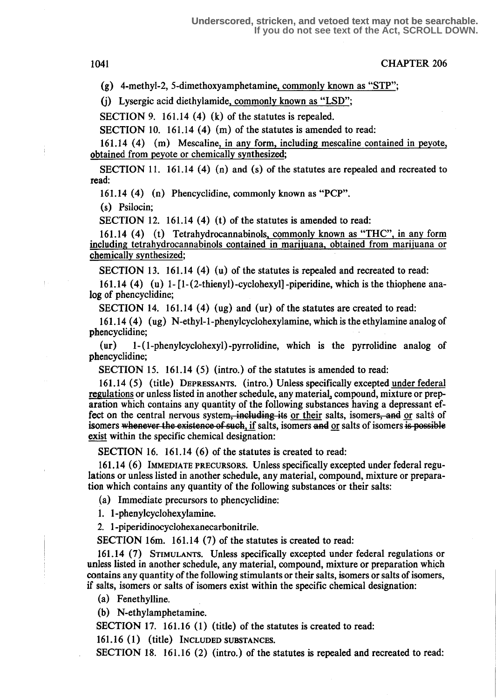(g) 4-methyl-2, 5-dimethoxyamphetamine, commonly known as "STP";

(j) Lysergic acid diethylamide, commonly known as "LSD";

SECTION 9. 161.14  $(4)$   $(k)$  of the statutes is repealed.

SECTION 10. 161.14  $(4)$  (m) of the statutes is amended to read:

161 .14 (4) (m) Mescaline, in any form, including mescaline contained in peyote, obtained from peyote or chemically synthesized;

SECTION 11. 161.14  $(4)$  (n) and (s) of the statutes are repealed and recreated to read:

161 .14 (4) (n) Phencyclidine, commonly known as "PCP".

(s) Psilocin;

SECTION 12. 161.14  $(4)$  (t) of the statutes is amended to read:

161.14 (4) (t) Tetrahydrocannabinols, commonly known as "THC", in any form including tetrahydrocannabinols contained in marijuana, obtained from marijuana or chemically synthesized;

SECTION 13. 161.14  $(4)$  (u) of the statutes is repealed and recreated to read:

161.14 (4) (u) 1- $[1-(2-thienyl)-cyclohexyl]$ -piperidine, which is the thiophene analog of phencyclidine;

SECTION 14. 161.14 (4) (ug) and (ur) of the statutes are created to read:

161 .14 (4) (ug) N-ethyl-l-phenylcyclohexylamine, which is the ethylamine analog of phencyclidine;

(ur) 1-(1-phenylcyclohexyl)-pyrrolidine, which is the pyrrolidine analog of phencyclidine;

SECTION 15. 161.14 (5) (intro.) of the statutes is amended to read:

161 .14 (5) (title) DEPRESSANTS . (intro.) Unless specifically excepted under federal regulations or unless listed in another schedule, any material, compound, mixture or preparation which contains any quantity of the following substances having a depressant effect on the central nervous system, including its or their salts, isomers, and or salts of aration which contains any quantity of the following substances having a depressant effect on the central nervous system, including its or their salts, isomers, and or salts of isomers whenever the existence of such, if s exist within the specific chemical designation:

SECTION 16. 161.14 (6) of the statutes is created to read:

161.14 (6) IMMEDIATE PRECURSORS. Unless specifically excepted under federal regulations or unless listed in another schedule, any material, compound, mixture or preparation which contains any quantity of the following substances or their salts:

(a) Immediate precursors to phencyclidine:

1. 1-phenylcyclohexylamine.

2. 1-piperidinocyclohexanecarbonitrile.

SECTION 16m. 161.14 (7) of the statutes is created to read:

161 .14 (7) STIMULANTS. Unless specifically excepted under federal regulations or unless listed in another schedule, any material, compound, mixture or preparation which contains any quantity of the following stimulants or their salts, isomers or salts of isomers, if salts, isomers or salts of isomers exist within the specific chemical designation :

(a) Fenethylline.

(b) N-ethylamphetamine.

SECTION 17. 161.16 (1) (title) of the statutes is created to read:

161. 16 (1) (title) INCLUDED SUBSTANCES.

SECTION 18. 161.16 (2) (intro.) of the statutes is repealed and recreated to read: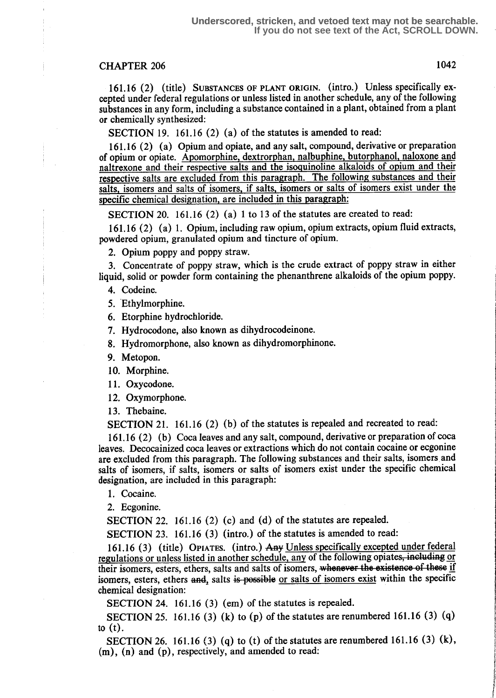161.16 (2) (title) SUBSTANCES OF PLANT ORIGIN. (intro.) Unless specifically excepted under federal regulations or unless listed in another schedule, any of the following substances in any form, including a substance contained in a plant, obtained from a plant or chemically synthesized:

SECTION 19. 161.16 (2) (a) of the statutes is amended to read:

161 .16 (2) (a) Opium and opiate, and any salt, compound, derivative or preparation of opium or opiate. Apomorphine, dextrorphan, nalbuphine, butorphanol, naloxone and naltrexone and their respective salts and the isoquinoline alkaloids of opium and their respective salts are excluded from this paragraph. The following substances and their salts, isomers and salts of isomers, if salts, isomers or salts of isomers exist under the specific chemical designation, are included in this paragraph:

SECTION 20. 161.16 (2) (a) 1 to 13 of the statutes are created to read:

161.16 (2) (a) 1. Opium, including raw opium, opium extracts, opium fluid extracts, powdered opium, granulated opium and tincture of opium.

2. Opium poppy and poppy straw.

3. Concentrate of poppy straw, which is the crude extract of poppy straw in either liquid, solid or powder form containing the phenanthrene alkaloids of the opium poppy.

4. Codeine.

5. Ethylmorphine.

6. Etorphine hydrochloride.

7. Hydrocodone, also known as dihydrocodeinone.

8. Hydromorphone, also known as dihydromorphinone.

9. Metopon.

10. Morphine.

11. Oxycodone.

12. Oxymorphone.

13. Thebaine.

SECTION 21. 161.16 (2) (b) of the statutes is repealed and recreated to read:

161.16 (2) (b) Coca leaves and any salt, compound, derivative or preparation of coca leaves. Decocainized coca leaves or extractions which do not contain cocaine or ecgonine are excluded from this paragraph. The following substances and their salts, isomers and salts of isomers, if salts, isomers or salts of isomers exist under the specific chemical designation, are included in this paragraph:

1. Cocaine.

2. Ecgonine.

SECTION 22. 161.16 (2) (c) and (d) of the statutes are repealed.

SECTION 23. 161.16 (3) (intro.) of the statutes is amended to read:

161.16 (3) (title) OPIATES. (intro.) Any Unless specifically excepted under federal regulations or unless listed in another schedule, any of the following opiates, including or their isomers, esters, ethers, salts and salts of isomers, whenever the existence of these if isomers, esters, ethers and, salts is possible or salts of isomers exist within the specific chemical designation:

SECTION 24. 161.16 (3) (em) of the statutes is repealed.

SECTION 25. 161.16 (3) (k) to (p) of the statutes are renumbered 161.16 (3) (q) to  $(t)$ .

SECTION 26. 161.16 (3) (q) to (t) of the statutes are renumbered 161.16 (3) (k), (m), (n) and (p), respectively, and amended to read: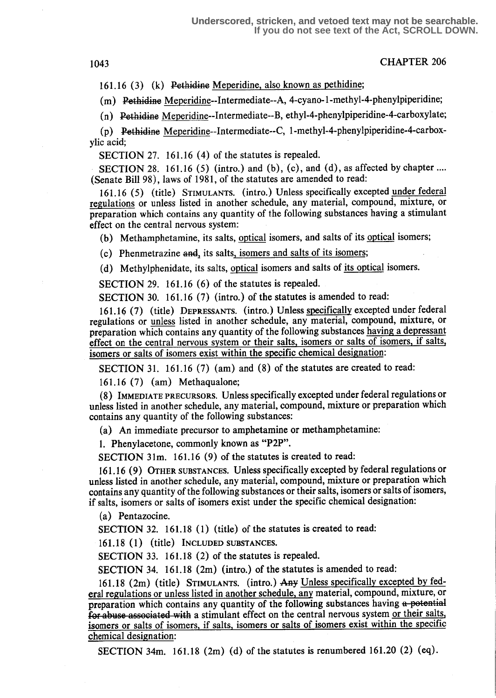1043 CHAPTER 206

161 .16 (3) (k) Pethidine Meperidine, also known as pethidine;

(m) Pethidine Meperidine--Intermediate--A, 4-cyano-1-methyl-4-phenylpiperidine;

(n) Pethidine Meperidine--Intermediate--B, ethyl-4-phenylpiperidine-4-carboxylate;

 $(p)$  Pethidine Meperidine--Intermediate--C, 1-methyl-4-phenylpiperidine-4-carboxylic acid;

SECTION 27. 161.16 (4) of the statutes is repealed.

SECTION 28. 161.16 (5) (intro.) and (b), (c), and (d), as affected by chapter .... (Senate Bill 98), laws of 1981, of the statutes are amended to read:

161 .16 (5) (title) STIMULANTS. (intro.) Unless specifically excepted under federal regulations or unless listed in another schedule, any material, compound, mixture, or preparation which contains any quantity of the following substances having a stimulant effect on the central nervous system:

(b) Methamphetamine, its salts, optical isomers, and salts of its optical isomers;

 $(c)$  Phenmetrazine and, its salts, isomers and salts of its isomers;

(d) Methylphenidate, its salts, optical isomers and salts of its optical isomers.

SECTION 29. 161.16 (6) of the statutes is repealed.

SECTION 30. 161.16 (7) (intro.) of the statutes is amended to read:

161.16 (7) (title) DEPRESSANTS. (intro.) Unless specifically excepted under federal regulations or unless listed in another schedule, any material, compound, mixture, or preparation which contains any quantity of the following substances having a depressant effect on the central nervous system or their salts, isomers or salts of isomers, if salts, isomers or salts of isomers exist within the specific chemical designation:

SECTION 31. 161.16 (7) (am) and (8) of the statutes are created to read:

161 .16 (7) (am) Methaqualone;

(8) IMMEDIATE PRECURSORS. Unless specifically excepted under federal regulations or unless listed in another schedule, any material, compound, mixture or preparation which contains any quantity of the following substances:

(a) An immediate precursor to amphetamine or methamphetamine:

1. Phenylacetone, commonly known as "P2P".

SECTION 31m. 161.16 (9) of the statutes is created to read:

<sup>161</sup> .16 (9) OTHER SUBSTANCES. Unless specifically excepted by federal regulations or unless listed in another schedule, any material, compound, mixture or preparation which contains any quantity of the following substances or their salts, isomers or salts of isomers, if salts, isomers or salts of isomers exist under the specific chemical designation :

(a) Pentazocine.

SECTION 32. 161.18 (1) (title) of the statutes is created to read:

161 .18 (1) (title) INCLUDED SUBSTANCES.

SECTION 33. 161.18 (2) of the statutes is repealed.

SECTION 34. 161.18 (2m) (intro.) of the statutes is amended to read:

161.18 (2m) (title) STIMULANTS. (intro.) Any Unless specifically excepted by federal regulations or unless listed in another schedule, any material, compound, mixture, or preparation which contains any quantity of the following substances having a potential for abuse associated with a stimulant effect on the central nervous system or their salts, isomers or salts of isomers, if salts, isomers or salts of isomers exist within the specific chemical designation:

SECTION 34m. 161.18  $(2m)$  (d) of the statutes is renumbered 161.20  $(2)$  (eq).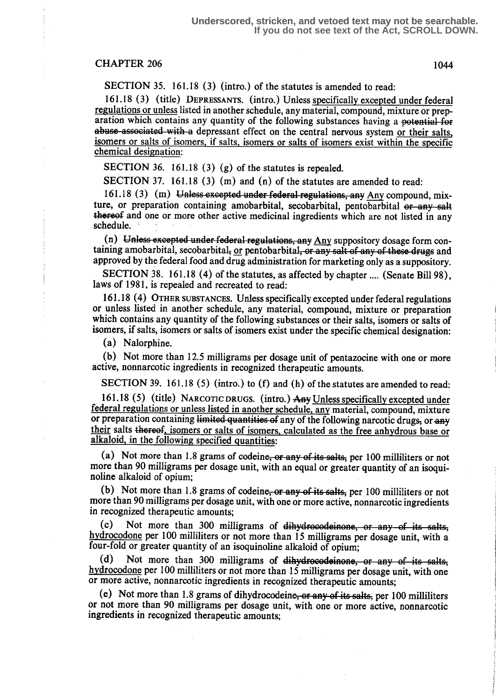SECTION 35. 161.18 (3) (intro.) of the statutes is amended to read:

161 .18 (3) (title) DEPRESSANTS. (intro.) Unless specifically excepted under federal regulations or unless listed in another schedule, any material, compound, mixture or preparation which contains any quantity of the following substances having a potential for abuse associated with a depressant effect on the central nervous system or their salts, isomers or salts of isomers, if salts, isomers or salts of isomers exist within the specific chemical designation:

SECTION 36. 161.18 (3) (g) of the statutes is repealed.

SECTION 37. 161.18 (3) (m) and (n) of the statutes are amended to read:

 $161.18$  (3) (m) Unless excepted under federal regulations, any Any compound, mixture, or preparation containing amobarbital, secobarbital, pentobarbital or any salt thereof and one or more other active medicinal ingredients which are not listed in any schedule.

(n) Unless excepted under federal regulations, any  $Any$  suppository dosage form containing amobarbital, secobarbital, or pentobarbital, or any salt of any of these drugs and approved by the federal food and drug administration for marketing only as a suppository.

SECTION 38. 161.18 (4) of the statutes, as affected by chapter .... (Senate Bill 98), laws of 1981, is repealed and recreated to read:

161 .18 (4) OTHER SUBSTANCES. Unless specifically excepted under federal regulations or unless listed in another schedule, any material, compound, mixture or preparation which contains any quantity of the following substances or their salts, isomers or salts of isomers, if salts, isomers or salts of isomers exist under the specific chemical designation:

(a) Nalorphine.

(b) Not more than 12.5 milligrams per dosage unit of pentazocine with one or more active, nonnarcotic ingredients in recognized therapeutic amounts.

SECTION 39. 161.18 (5) (intro.) to (f) and (h) of the statutes are amended to read:

161.18 (5) (title) NARCOTIC DRUGS. (intro.) Any Unless specifically excepted under federal regulations or unless listed in another schedule any material, compound, mixture or preparation containing limited quantities of any of the following narcotic drugs, or any their salts thereof, isomers or salts of isomers, calculated as the free anhydrous base or alkaloid, in the following specified quantities:

(a) Not more than 1.8 grams of codeine, or any of its salts, per 100 milliliters or not more than 90 milligrams per dosage unit, with an equal or greater quantity of an isoquinoline alkaloid of opium;

(b) Not more than 1.8 grams of codeine, or any of its salts, per 100 milliliters or not more than 90 milligrams per dosage unit, with one or more active, nonnarcotic ingredients in recognized therapeutic amounts;<br>(c) Not more than 300 mill

Not more than 300 milligrams of dihydrocodeinone, or any of its salts, hydrocodone per 100 milliliters or not more than 15 milligrams per dosage unit, with a four-fold or greater quantity of an isoquinoline alkaloid of opium;<br>(d) Not more than 300 milligrams of dihydrocodeinone

Not more than 300 milligrams of dihydrocodeinone, or any of its salts, hydrocodone per 100 milliliters or not more than 15 milligrams per dosage unit, with one or more active, nonnarcotic ingredients in recognized therapeutic amounts;

(e) Not more than 1.8 grams of dihydrocodeine, or any of its salts, per 100 milliliters or not more than 90 milligrams per dosage unit, with one or more active, nonnarcotic ingredients in recognized therapeutic amounts;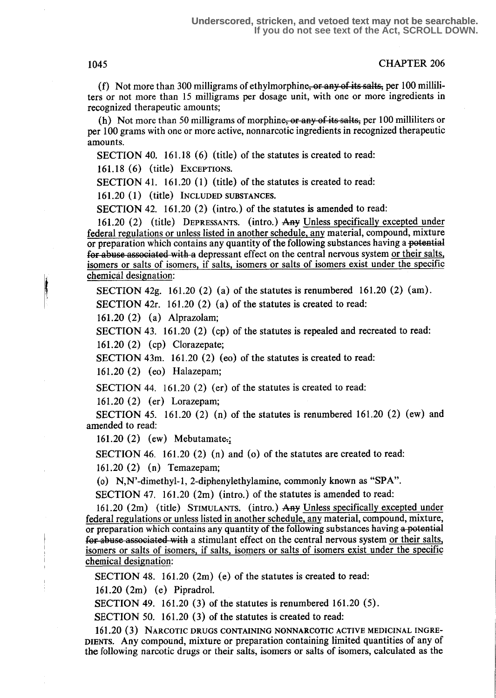1045 CHAPTER 206

(f) Not more than 300 milligrams of ethylmorphine<del>, or any of its salts,</del> per 100 milliliters or not more than 15 milligrams per dosage unit, with one or more ingredients in recognized therapeutic amounts;

(h) Not more than 50 milligrams of morphine, or any of its salts, per 100 milliliters or per 100 grams with one or more active, nonnarcotic ingredients in recognized therapeutic amounts.

SECTION 40. 161.18 (6) (title) of the statutes is created to read:

 $161.18$  (6) (title) EXCEPTIONS.

SECTION 41.  $161.20$  (1) (title) of the statutes is created to read:

161 .20 (1) (title) INCLUDED SUBSTANCES.

SECTION 42. 161.20 (2) (intro.) of the statutes is amended to read:

<sup>161</sup> .20 (2) (title) DEPRESSANTS. (intro .) Any Unless specifically excepted under federal regulations or unless listed in another schedule, any material, compound, mixture or preparation which contains any quantity of the following substances having a potential for abuse associated with a depressant effect on the central nervous system or their salts, isomers or salts of isomers, if salts, isomers or salts of isomers exist under the specific chemical designation:

SECTION 42g. 161.20 (2) (a) of the statutes is renumbered 161.20 (2) (am).

SECTION 42 $r$ . 161.20 (2) (a) of the statutes is created to read:

161 .20 (2) (a) Alprazolam;

SECTION 43. 161.20 (2) (cp) of the statutes is repealed and recreated to read:

161.20 (2) (cp) Clorazepate;

SECTION 43m. 161.20 (2) (eo) of the statutes is created to read:

161 .20 (2) (eo) Halazepam;

SECTION 44.  $161.20$  (2) (er) of the statutes is created to read:

161 .20 (2) (er) Lorazepam;

SECTION 45. 161.20 (2) (n) of the statutes is renumbered 161.20 (2) (ew) and amended to read:

161.20 (2) (ew) Mebutamate.;

SECTION 46. 161.20 (2) (n) and (o) of the statutes are created to read:

161 .20 (2) (n) Temazepam;

(o) N,N'-dimethyl-1, 2-diphenylethylamine, commonly known as "SPA".

SECTION 47. 161.20  $(2m)$  (intro.) of the statutes is amended to read:

<sup>161</sup> .20 (2m) (title) STIMULANTS. (intro.) Any Unless specifically excepted under federal regulations or unless listed in another schedule, any material, compound, mixture, or preparation which contains any quantity of the following substances having a potential for abuse associated with a stimulant effect on the central nervous system or their salts, isomers or salts of isomers, if salts, isomers or salts of isomers exist under the specific chemical designation:

SECTION 48. 161.20  $(2m)$  (e) of the statutes is created to read:

161.20 (2m) (e) Pipradrol.

SECTION 49. 161.20  $(3)$  of the statutes is renumbered 161.20  $(5)$ .

SECTION 50. 161.20 (3) of the statutes is created to read:

161.20 (3) NARCOTIC DRUGS CONTAINING NONNARCOTIC ACTIVE MEDICINAL INGRE-DIENTS. Any compound, mixture or preparation containing limited quantities of any of the following narcotic drugs or their salts, isomers or salts of isomers, calculated as the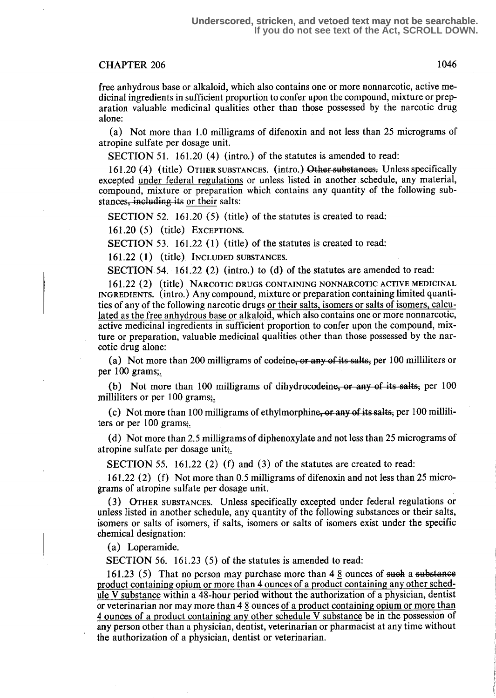free anhydrous base or alkaloid, which also contains one or more nonnarcotic, active medicinal ingredients in sufficient proportion to confer upon the compound, mixture or preparation valuable medicinal qualities other than those possessed by the narcotic drug alone:

(a) Not more than 1.0 milligrams of difenoxin and not less than 25 micrograms of atropine sulfate per dosage unit.

SECTION 51. 161.20 (4) (intro.) of the statutes is amended to read:

161.20 (4) (title) OTHER SUBSTANCES. (intro.) Other substances. Unless specifically excepted under federal regulations or unless listed in another schedule, any material, compound, mixture or preparation which contains any quantity of the following substances, including its or their salts:

SECTION 52.  $161.20(5)$  (title) of the statutes is created to read:

161 .20 (5) (title) EXCEPTIONS.

SECTION 53. 161.22 (1) (title) of the statutes is created to read:

161.22 (1) (title) INCLUDED SUBSTANCES .

SECTION 54. 161.22 (2) (intro.) to (d) of the statutes are amended to read:

161.22 (2) (title) NARCOTIC DRUGS CONTAINING NONNARCOTIC ACTIVE MEDICINAL INGREDIENTS. (intro . ) Any compound, mixture or preparation containing limited quantities of any of the following narcotic drugs or their salts, isomers or salts of isomers, calculated as the free anhydrous base or alkaloid, which also contains one or more nonnarcotic, active medicinal ingredients in sufficient proportion to confer upon the compound, mixture or preparation, valuable medicinal qualities other than those possessed by the narcotic drug alone:

(a) Not more than 200 milligrams of codeine,  $\overline{or}$  any of its salts, per 100 milliliters or per  $100$  grams;

(b) Not more than 100 milligrams of dihydrocodeine, or any of its salts, per 100 milliliters or per 100 grams;.

(c) Not more than 100 milligrams of ethylmorphine, or any of its salts, per 100 milliliters or per 100 grams;.

(d) Not more than 2.5 milligrams of diphenoxylate and not less than 25 micrograms of atropine sulfate per dosage unit;.

SECTION 55. 161.22 (2) (f) and (3) of the statutes are created to read:

161 .22 (2) (f) Not more than 0.5 milligrams of difenoxin and not less than 25 micrograms of atropine sulfate per dosage unit.

(3) OTHER SUBSTANCES. Unless specifically excepted under federal regulations or unless listed in another schedule, any quantity of the following substances or their salts, isomers or salts of isomers, if salts, isomers or salts of isomers exist under the specific chemical designation:

(a) Loperamide.

SECTION 56. 161.23 (5) of the statutes is amended to read:

161.23 (5) That no person may purchase more than  $48$  ounces of such a substance product containing opium or more than 4 ounces of a product containing any other schedule V substance within a 48-hour period without the authorization of a physician, dentist or veterinarian nor may more than 4 S ounces of a product containing opium or more than 4 ounces of a product containing any other schedule V substance be in the possession of any person other than a physician, dentist, veterinarian or pharmacist at any time without the authorization of a physician, dentist or veterinarian.